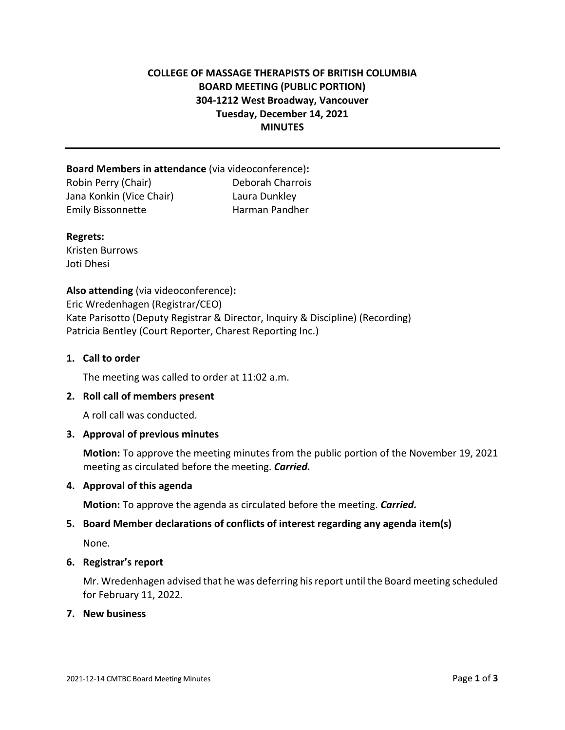# **COLLEGE OF MASSAGE THERAPISTS OF BRITISH COLUMBIA BOARD MEETING (PUBLIC PORTION) 304-1212 West Broadway, Vancouver Tuesday, December 14, 2021 MINUTES**

**Board Members in attendance** (via videoconference)**:**  Robin Perry (Chair) Deborah Charrois Jana Konkin (Vice Chair) Laura Dunkley Emily Bissonnette Harman Pandher

#### **Regrets:**

Kristen Burrows Joti Dhesi

**Also attending** (via videoconference)**:** Eric Wredenhagen (Registrar/CEO) Kate Parisotto (Deputy Registrar & Director, Inquiry & Discipline) (Recording) Patricia Bentley (Court Reporter, Charest Reporting Inc.)

#### **1. Call to order**

The meeting was called to order at 11:02 a.m.

#### **2. Roll call of members present**

A roll call was conducted.

#### **3. Approval of previous minutes**

**Motion:** To approve the meeting minutes from the public portion of the November 19, 2021 meeting as circulated before the meeting. *Carried.*

#### **4. Approval of this agenda**

**Motion:** To approve the agenda as circulated before the meeting. *Carried.*

#### **5. Board Member declarations of conflicts of interest regarding any agenda item(s)**

None.

#### **6. Registrar's report**

Mr. Wredenhagen advised that he was deferring his report until the Board meeting scheduled for February 11, 2022.

#### **7. New business**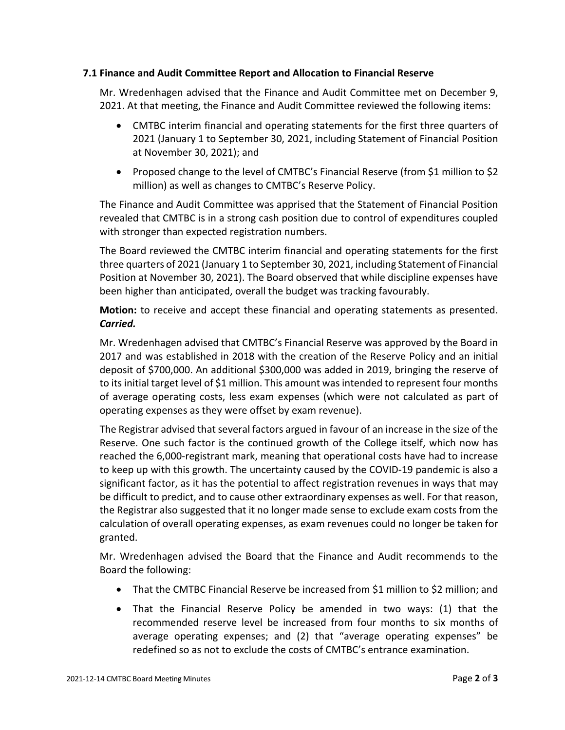## **7.1 Finance and Audit Committee Report and Allocation to Financial Reserve**

Mr. Wredenhagen advised that the Finance and Audit Committee met on December 9, 2021. At that meeting, the Finance and Audit Committee reviewed the following items:

- CMTBC interim financial and operating statements for the first three quarters of 2021 (January 1 to September 30, 2021, including Statement of Financial Position at November 30, 2021); and
- Proposed change to the level of CMTBC's Financial Reserve (from \$1 million to \$2 million) as well as changes to CMTBC's Reserve Policy.

The Finance and Audit Committee was apprised that the Statement of Financial Position revealed that CMTBC is in a strong cash position due to control of expenditures coupled with stronger than expected registration numbers.

The Board reviewed the CMTBC interim financial and operating statements for the first three quarters of 2021 (January 1 to September 30, 2021, including Statement of Financial Position at November 30, 2021). The Board observed that while discipline expenses have been higher than anticipated, overall the budget was tracking favourably.

**Motion:** to receive and accept these financial and operating statements as presented. *Carried.* 

Mr. Wredenhagen advised that CMTBC's Financial Reserve was approved by the Board in 2017 and was established in 2018 with the creation of the Reserve Policy and an initial deposit of \$700,000. An additional \$300,000 was added in 2019, bringing the reserve of to its initial target level of \$1 million. This amount was intended to represent four months of average operating costs, less exam expenses (which were not calculated as part of operating expenses as they were offset by exam revenue).

The Registrar advised that several factors argued in favour of an increase in the size of the Reserve. One such factor is the continued growth of the College itself, which now has reached the 6,000-registrant mark, meaning that operational costs have had to increase to keep up with this growth. The uncertainty caused by the COVID-19 pandemic is also a significant factor, as it has the potential to affect registration revenues in ways that may be difficult to predict, and to cause other extraordinary expenses as well. For that reason, the Registrar also suggested that it no longer made sense to exclude exam costs from the calculation of overall operating expenses, as exam revenues could no longer be taken for granted.

Mr. Wredenhagen advised the Board that the Finance and Audit recommends to the Board the following:

- That the CMTBC Financial Reserve be increased from \$1 million to \$2 million; and
- That the Financial Reserve Policy be amended in two ways: (1) that the recommended reserve level be increased from four months to six months of average operating expenses; and (2) that "average operating expenses" be redefined so as not to exclude the costs of CMTBC's entrance examination.